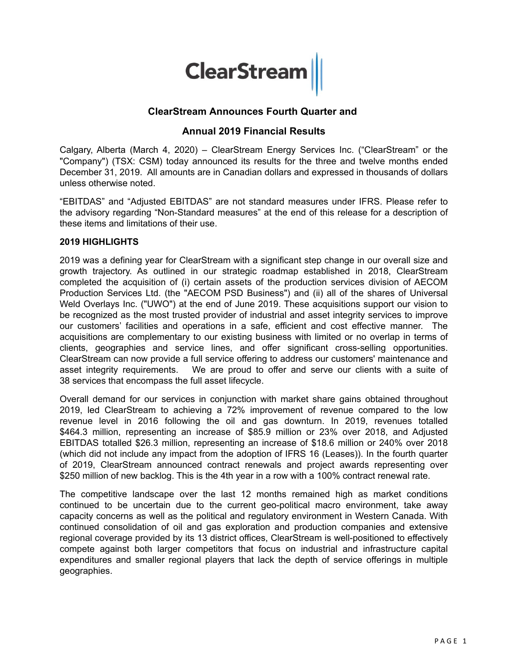

# **ClearStream Announces Fourth Quarter and**

# **Annual 2019 Financial Results**

Calgary, Alberta (March 4, 2020) – ClearStream Energy Services Inc. ("ClearStream" or the "Company") (TSX: CSM) today announced its results for the three and twelve months ended December 31, 2019. All amounts are in Canadian dollars and expressed in thousands of dollars unless otherwise noted.

"EBITDAS" and "Adjusted EBITDAS" are not standard measures under IFRS. Please refer to the advisory regarding "Non-Standard measures" at the end of this release for a description of these items and limitations of their use.

## **2019 HIGHLIGHTS**

2019 was a defining year for ClearStream with a significant step change in our overall size and growth trajectory. As outlined in our strategic roadmap established in 2018, ClearStream completed the acquisition of (i) certain assets of the production services division of AECOM Production Services Ltd. (the "AECOM PSD Business") and (ii) all of the shares of Universal Weld Overlays Inc. ("UWO") at the end of June 2019. These acquisitions support our vision to be recognized as the most trusted provider of industrial and asset integrity services to improve our customers' facilities and operations in a safe, efficient and cost effective manner. The acquisitions are complementary to our existing business with limited or no overlap in terms of clients, geographies and service lines, and offer significant cross-selling opportunities. ClearStream can now provide a full service offering to address our customers' maintenance and asset integrity requirements. We are proud to offer and serve our clients with a suite of 38 services that encompass the full asset lifecycle.

Overall demand for our services in conjunction with market share gains obtained throughout 2019, led ClearStream to achieving a 72% improvement of revenue compared to the low revenue level in 2016 following the oil and gas downturn. In 2019, revenues totalled \$464.3 million, representing an increase of \$85.9 million or 23% over 2018, and Adjusted EBITDAS totalled \$26.3 million, representing an increase of \$18.6 million or 240% over 2018 (which did not include any impact from the adoption of IFRS 16 (Leases)). In the fourth quarter of 2019, ClearStream announced contract renewals and project awards representing over \$250 million of new backlog. This is the 4th year in a row with a 100% contract renewal rate.

The competitive landscape over the last 12 months remained high as market conditions continued to be uncertain due to the current geo-political macro environment, take away capacity concerns as well as the political and regulatory environment in Western Canada. With continued consolidation of oil and gas exploration and production companies and extensive regional coverage provided by its 13 district offices, ClearStream is well-positioned to effectively compete against both larger competitors that focus on industrial and infrastructure capital expenditures and smaller regional players that lack the depth of service offerings in multiple geographies.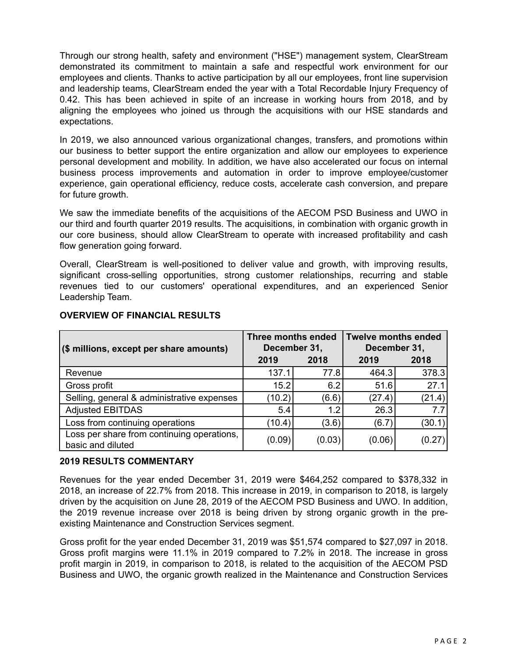Through our strong health, safety and environment ("HSE") management system, ClearStream demonstrated its commitment to maintain a safe and respectful work environment for our employees and clients. Thanks to active participation by all our employees, front line supervision and leadership teams, ClearStream ended the year with a Total Recordable Injury Frequency of 0.42. This has been achieved in spite of an increase in working hours from 2018, and by aligning the employees who joined us through the acquisitions with our HSE standards and expectations.

In 2019, we also announced various organizational changes, transfers, and promotions within our business to better support the entire organization and allow our employees to experience personal development and mobility. In addition, we have also accelerated our focus on internal business process improvements and automation in order to improve employee/customer experience, gain operational efficiency, reduce costs, accelerate cash conversion, and prepare for future growth.

We saw the immediate benefits of the acquisitions of the AECOM PSD Business and UWO in our third and fourth quarter 2019 results. The acquisitions, in combination with organic growth in our core business, should allow ClearStream to operate with increased profitability and cash flow generation going forward.

Overall, ClearStream is well-positioned to deliver value and growth, with improving results, significant cross-selling opportunities, strong customer relationships, recurring and stable revenues tied to our customers' operational expenditures, and an experienced Senior Leadership Team.

| (\$ millions, except per share amounts)                         | <b>Three months ended</b><br>December 31, |        | <b>Twelve months ended</b><br>December 31, |        |
|-----------------------------------------------------------------|-------------------------------------------|--------|--------------------------------------------|--------|
|                                                                 | 2019                                      | 2018   | 2019                                       | 2018   |
| Revenue                                                         | 137.1                                     | 77.8   | 464.3                                      | 378.3  |
| Gross profit                                                    | 15.2                                      | 6.2    | 51.6                                       | 27.1   |
| Selling, general & administrative expenses                      | (10.2)                                    | (6.6)  | (27.4)                                     | (21.4) |
| <b>Adjusted EBITDAS</b>                                         | 5.4                                       | 1.2    | 26.3                                       | 7.7    |
| Loss from continuing operations                                 | (10.4)                                    | (3.6)  | (6.7)                                      | (30.1) |
| Loss per share from continuing operations,<br>basic and diluted | (0.09)                                    | (0.03) | (0.06)                                     | (0.27) |

# **OVERVIEW OF FINANCIAL RESULTS**

# **2019 RESULTS COMMENTARY**

Revenues for the year ended December 31, 2019 were \$464,252 compared to \$378,332 in 2018, an increase of 22.7% from 2018. This increase in 2019, in comparison to 2018, is largely driven by the acquisition on June 28, 2019 of the AECOM PSD Business and UWO. In addition, the 2019 revenue increase over 2018 is being driven by strong organic growth in the preexisting Maintenance and Construction Services segment.

Gross profit for the year ended December 31, 2019 was \$51,574 compared to \$27,097 in 2018. Gross profit margins were 11.1% in 2019 compared to 7.2% in 2018. The increase in gross profit margin in 2019, in comparison to 2018, is related to the acquisition of the AECOM PSD Business and UWO, the organic growth realized in the Maintenance and Construction Services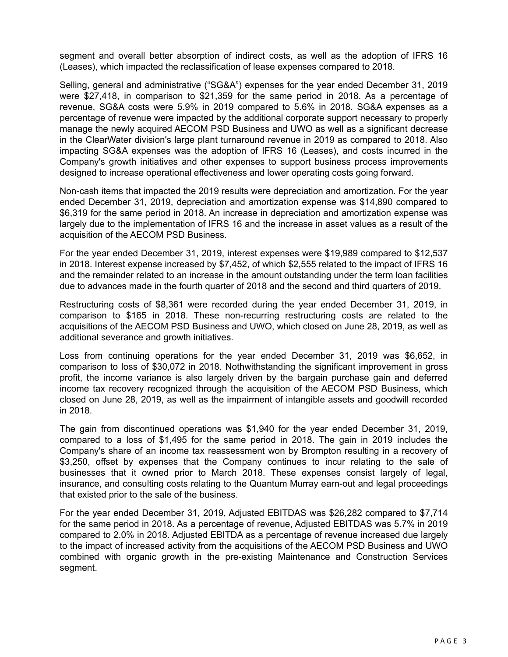segment and overall better absorption of indirect costs, as well as the adoption of IFRS 16 (Leases), which impacted the reclassification of lease expenses compared to 2018.

Selling, general and administrative ("SG&A") expenses for the year ended December 31, 2019 were \$27,418, in comparison to \$21,359 for the same period in 2018. As a percentage of revenue, SG&A costs were 5.9% in 2019 compared to 5.6% in 2018. SG&A expenses as a percentage of revenue were impacted by the additional corporate support necessary to properly manage the newly acquired AECOM PSD Business and UWO as well as a significant decrease in the ClearWater division's large plant turnaround revenue in 2019 as compared to 2018. Also impacting SG&A expenses was the adoption of IFRS 16 (Leases), and costs incurred in the Company's growth initiatives and other expenses to support business process improvements designed to increase operational effectiveness and lower operating costs going forward.

Non-cash items that impacted the 2019 results were depreciation and amortization. For the year ended December 31, 2019, depreciation and amortization expense was \$14,890 compared to \$6,319 for the same period in 2018. An increase in depreciation and amortization expense was largely due to the implementation of IFRS 16 and the increase in asset values as a result of the acquisition of the AECOM PSD Business.

For the year ended December 31, 2019, interest expenses were \$19,989 compared to \$12,537 in 2018. Interest expense increased by \$7,452, of which \$2,555 related to the impact of IFRS 16 and the remainder related to an increase in the amount outstanding under the term loan facilities due to advances made in the fourth quarter of 2018 and the second and third quarters of 2019.

Restructuring costs of \$8,361 were recorded during the year ended December 31, 2019, in comparison to \$165 in 2018. These non-recurring restructuring costs are related to the acquisitions of the AECOM PSD Business and UWO, which closed on June 28, 2019, as well as additional severance and growth initiatives.

Loss from continuing operations for the year ended December 31, 2019 was \$6,652, in comparison to loss of \$30,072 in 2018. Nothwithstanding the significant improvement in gross profit, the income variance is also largely driven by the bargain purchase gain and deferred income tax recovery recognized through the acquisition of the AECOM PSD Business, which closed on June 28, 2019, as well as the impairment of intangible assets and goodwill recorded in 2018.

The gain from discontinued operations was \$1,940 for the year ended December 31, 2019, compared to a loss of \$1,495 for the same period in 2018. The gain in 2019 includes the Company's share of an income tax reassessment won by Brompton resulting in a recovery of \$3,250, offset by expenses that the Company continues to incur relating to the sale of businesses that it owned prior to March 2018. These expenses consist largely of legal, insurance, and consulting costs relating to the Quantum Murray earn-out and legal proceedings that existed prior to the sale of the business.

For the year ended December 31, 2019, Adjusted EBITDAS was \$26,282 compared to \$7,714 for the same period in 2018. As a percentage of revenue, Adjusted EBITDAS was 5.7% in 2019 compared to 2.0% in 2018. Adjusted EBITDA as a percentage of revenue increased due largely to the impact of increased activity from the acquisitions of the AECOM PSD Business and UWO combined with organic growth in the pre-existing Maintenance and Construction Services segment.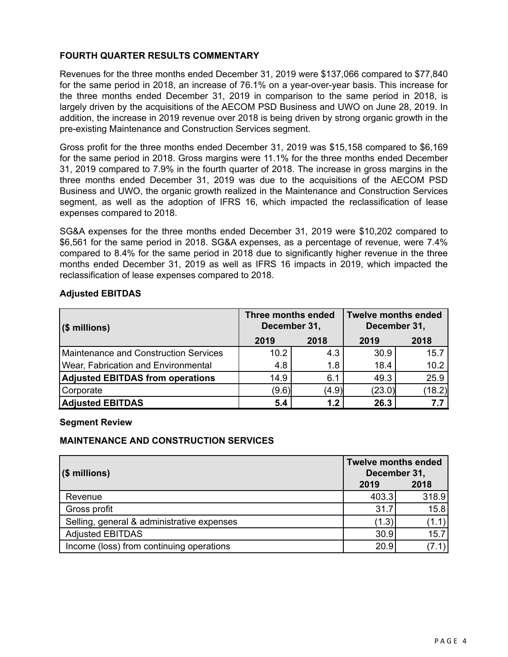# **FOURTH QUARTER RESULTS COMMENTARY**

Revenues for the three months ended December 31, 2019 were \$137,066 compared to \$77,840 for the same period in 2018, an increase of 76.1% on a year-over-year basis. This increase for the three months ended December 31, 2019 in comparison to the same period in 2018, is largely driven by the acquisitions of the AECOM PSD Business and UWO on June 28, 2019. In addition, the increase in 2019 revenue over 2018 is being driven by strong organic growth in the pre-existing Maintenance and Construction Services segment.

Gross profit for the three months ended December 31, 2019 was \$15,158 compared to \$6,169 for the same period in 2018. Gross margins were 11.1% for the three months ended December 31, 2019 compared to 7.9% in the fourth quarter of 2018. The increase in gross margins in the three months ended December 31, 2019 was due to the acquisitions of the AECOM PSD Business and UWO, the organic growth realized in the Maintenance and Construction Services segment, as well as the adoption of IFRS 16, which impacted the reclassification of lease expenses compared to 2018.

SG&A expenses for the three months ended December 31, 2019 were \$10,202 compared to \$6,561 for the same period in 2018. SG&A expenses, as a percentage of revenue, were 7.4% compared to 8.4% for the same period in 2018 due to significantly higher revenue in the three months ended December 31, 2019 as well as IFRS 16 impacts in 2019, which impacted the reclassification of lease expenses compared to 2018.

# **Adjusted EBITDAS**

| $($ \$ millions)                             | <b>Three months ended</b><br>December 31, |       | Twelve months ended<br>December 31, |        |
|----------------------------------------------|-------------------------------------------|-------|-------------------------------------|--------|
|                                              | 2019                                      | 2018  | 2019                                | 2018   |
| <b>Maintenance and Construction Services</b> | 10.2                                      | 4.3   | 30.9                                | 15.7   |
| Wear, Fabrication and Environmental          | 4.8                                       | 1.8   | 18.4                                | 10.2   |
| <b>Adjusted EBITDAS from operations</b>      | 14.9                                      | 6.1   | 49.3                                | 25.9   |
| Corporate                                    | (9.6)                                     | (4.9) | (23.0)                              | (18.2) |
| <b>Adjusted EBITDAS</b>                      | 5.4                                       | 1.2   | 26.3                                | 7.7    |

#### **Segment Review**

# **MAINTENANCE AND CONSTRUCTION SERVICES**

| $($ \$ millions)                           | <b>Twelve months ended</b><br>December 31, |       |
|--------------------------------------------|--------------------------------------------|-------|
|                                            | 2019                                       | 2018  |
| Revenue                                    | 403.3                                      | 318.9 |
| Gross profit                               | 31.7                                       | 15.8  |
| Selling, general & administrative expenses | (1.3)                                      | (1.1) |
| <b>Adjusted EBITDAS</b>                    | 30.9                                       | 15.7  |
| Income (loss) from continuing operations   | 20.9                                       |       |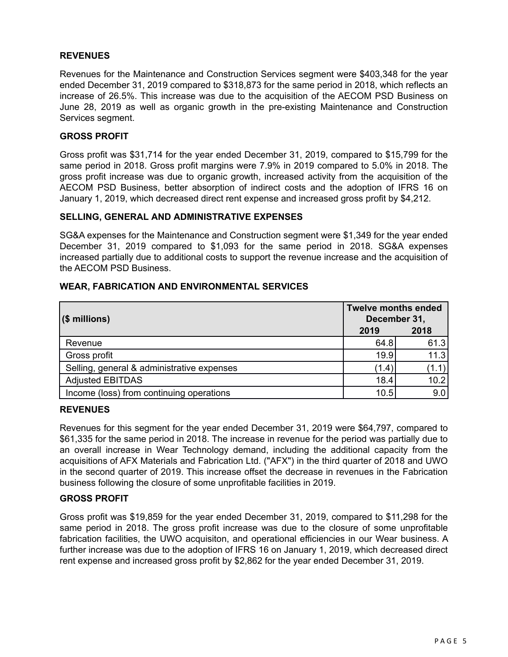# **REVENUES**

Revenues for the Maintenance and Construction Services segment were \$403,348 for the year ended December 31, 2019 compared to \$318,873 for the same period in 2018, which reflects an increase of 26.5%. This increase was due to the acquisition of the AECOM PSD Business on June 28, 2019 as well as organic growth in the pre-existing Maintenance and Construction Services segment.

#### **GROSS PROFIT**

Gross profit was \$31,714 for the year ended December 31, 2019, compared to \$15,799 for the same period in 2018. Gross profit margins were 7.9% in 2019 compared to 5.0% in 2018. The gross profit increase was due to organic growth, increased activity from the acquisition of the AECOM PSD Business, better absorption of indirect costs and the adoption of IFRS 16 on January 1, 2019, which decreased direct rent expense and increased gross profit by \$4,212.

#### **SELLING, GENERAL AND ADMINISTRATIVE EXPENSES**

SG&A expenses for the Maintenance and Construction segment were \$1,349 for the year ended December 31, 2019 compared to \$1,093 for the same period in 2018. SG&A expenses increased partially due to additional costs to support the revenue increase and the acquisition of the AECOM PSD Business.

## **WEAR, FABRICATION AND ENVIRONMENTAL SERVICES**

| $($ \$ millions)                           | <b>Twelve months ended</b><br>December 31, |       |
|--------------------------------------------|--------------------------------------------|-------|
|                                            | 2019                                       | 2018  |
| Revenue                                    | 64.8                                       | 61.3  |
| Gross profit                               | 19.9                                       | 11.3  |
| Selling, general & administrative expenses | (1.4)                                      | (1.1) |
| <b>Adjusted EBITDAS</b>                    | 18.4                                       | 10.2  |
| Income (loss) from continuing operations   | 10.5                                       | 9.0   |

#### **REVENUES**

Revenues for this segment for the year ended December 31, 2019 were \$64,797, compared to \$61,335 for the same period in 2018. The increase in revenue for the period was partially due to an overall increase in Wear Technology demand, including the additional capacity from the acquisitions of AFX Materials and Fabrication Ltd. ("AFX") in the third quarter of 2018 and UWO in the second quarter of 2019. This increase offset the decrease in revenues in the Fabrication business following the closure of some unprofitable facilities in 2019.

#### **GROSS PROFIT**

Gross profit was \$19,859 for the year ended December 31, 2019, compared to \$11,298 for the same period in 2018. The gross profit increase was due to the closure of some unprofitable fabrication facilities, the UWO acquisiton, and operational efficiencies in our Wear business. A further increase was due to the adoption of IFRS 16 on January 1, 2019, which decreased direct rent expense and increased gross profit by \$2,862 for the year ended December 31, 2019.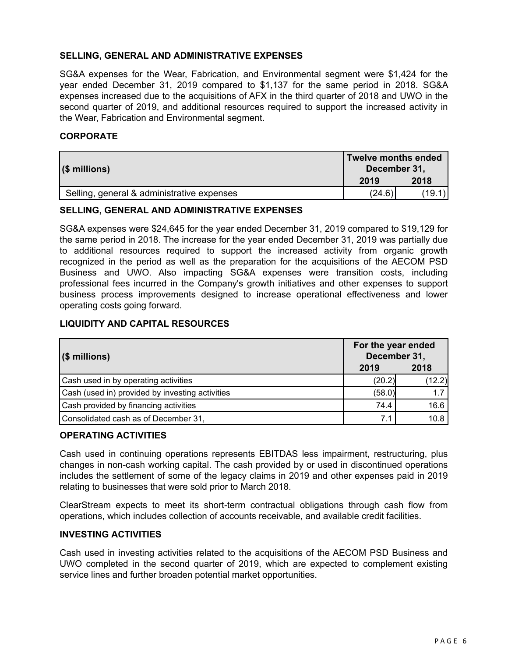# **SELLING, GENERAL AND ADMINISTRATIVE EXPENSES**

SG&A expenses for the Wear, Fabrication, and Environmental segment were \$1,424 for the year ended December 31, 2019 compared to \$1,137 for the same period in 2018. SG&A expenses increased due to the acquisitions of AFX in the third quarter of 2018 and UWO in the second quarter of 2019, and additional resources required to support the increased activity in the Wear, Fabrication and Environmental segment.

# **CORPORATE**

| $($ millions)                              | Twelve months ended<br>December 31, |       |
|--------------------------------------------|-------------------------------------|-------|
|                                            | 2019                                | 2018  |
| Selling, general & administrative expenses | (24.6)                              | (19.1 |

# **SELLING, GENERAL AND ADMINISTRATIVE EXPENSES**

SG&A expenses were \$24,645 for the year ended December 31, 2019 compared to \$19,129 for the same period in 2018. The increase for the year ended December 31, 2019 was partially due to additional resources required to support the increased activity from organic growth recognized in the period as well as the preparation for the acquisitions of the AECOM PSD Business and UWO. Also impacting SG&A expenses were transition costs, including professional fees incurred in the Company's growth initiatives and other expenses to support business process improvements designed to increase operational effectiveness and lower operating costs going forward.

# **LIQUIDITY AND CAPITAL RESOURCES**

| ∣(\$ millions)                                  | For the year ended<br>December 31, |        |
|-------------------------------------------------|------------------------------------|--------|
|                                                 | 2019                               | 2018   |
| Cash used in by operating activities            | (20.2)                             | (12.2) |
| Cash (used in) provided by investing activities | (58.0)                             | 1.7    |
| Cash provided by financing activities           | 74.4                               | 16.6   |
| Consolidated cash as of December 31,            |                                    | 10.8   |

## **OPERATING ACTIVITIES**

Cash used in continuing operations represents EBITDAS less impairment, restructuring, plus changes in non-cash working capital. The cash provided by or used in discontinued operations includes the settlement of some of the legacy claims in 2019 and other expenses paid in 2019 relating to businesses that were sold prior to March 2018.

ClearStream expects to meet its short-term contractual obligations through cash flow from operations, which includes collection of accounts receivable, and available credit facilities.

# **INVESTING ACTIVITIES**

Cash used in investing activities related to the acquisitions of the AECOM PSD Business and UWO completed in the second quarter of 2019, which are expected to complement existing service lines and further broaden potential market opportunities.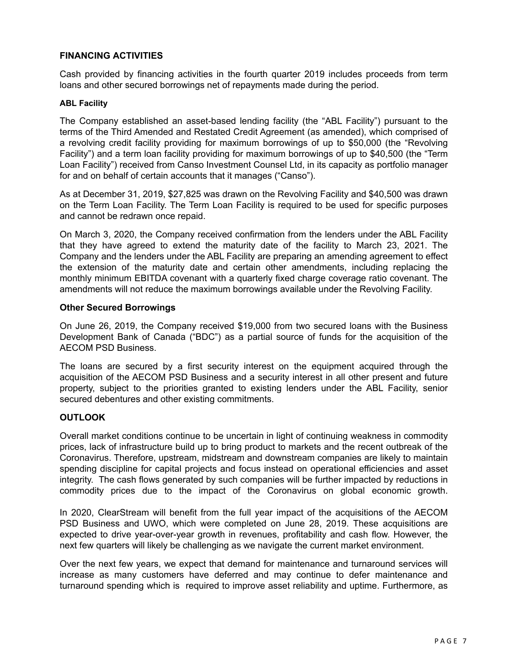# **FINANCING ACTIVITIES**

Cash provided by financing activities in the fourth quarter 2019 includes proceeds from term loans and other secured borrowings net of repayments made during the period.

#### **ABL Facility**

The Company established an asset-based lending facility (the "ABL Facility") pursuant to the terms of the Third Amended and Restated Credit Agreement (as amended), which comprised of a revolving credit facility providing for maximum borrowings of up to \$50,000 (the "Revolving Facility") and a term loan facility providing for maximum borrowings of up to \$40,500 (the "Term Loan Facility") received from Canso Investment Counsel Ltd, in its capacity as portfolio manager for and on behalf of certain accounts that it manages ("Canso").

As at December 31, 2019, \$27,825 was drawn on the Revolving Facility and \$40,500 was drawn on the Term Loan Facility. The Term Loan Facility is required to be used for specific purposes and cannot be redrawn once repaid.

On March 3, 2020, the Company received confirmation from the lenders under the ABL Facility that they have agreed to extend the maturity date of the facility to March 23, 2021. The Company and the lenders under the ABL Facility are preparing an amending agreement to effect the extension of the maturity date and certain other amendments, including replacing the monthly minimum EBITDA covenant with a quarterly fixed charge coverage ratio covenant. The amendments will not reduce the maximum borrowings available under the Revolving Facility.

#### **Other Secured Borrowings**

On June 26, 2019, the Company received \$19,000 from two secured loans with the Business Development Bank of Canada ("BDC") as a partial source of funds for the acquisition of the AECOM PSD Business.

The loans are secured by a first security interest on the equipment acquired through the acquisition of the AECOM PSD Business and a security interest in all other present and future property, subject to the priorities granted to existing lenders under the ABL Facility, senior secured debentures and other existing commitments.

#### **OUTLOOK**

Overall market conditions continue to be uncertain in light of continuing weakness in commodity prices, lack of infrastructure build up to bring product to markets and the recent outbreak of the Coronavirus. Therefore, upstream, midstream and downstream companies are likely to maintain spending discipline for capital projects and focus instead on operational efficiencies and asset integrity. The cash flows generated by such companies will be further impacted by reductions in commodity prices due to the impact of the Coronavirus on global economic growth.

In 2020, ClearStream will benefit from the full year impact of the acquisitions of the AECOM PSD Business and UWO, which were completed on June 28, 2019. These acquisitions are expected to drive year-over-year growth in revenues, profitability and cash flow. However, the next few quarters will likely be challenging as we navigate the current market environment.

Over the next few years, we expect that demand for maintenance and turnaround services will increase as many customers have deferred and may continue to defer maintenance and turnaround spending which is required to improve asset reliability and uptime. Furthermore, as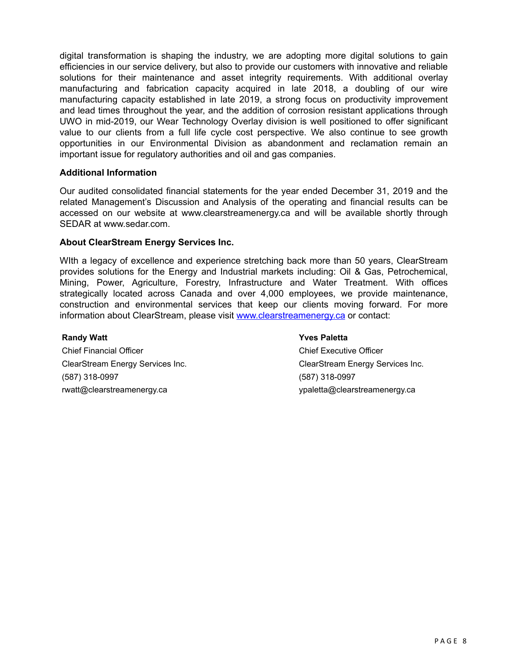digital transformation is shaping the industry, we are adopting more digital solutions to gain efficiencies in our service delivery, but also to provide our customers with innovative and reliable solutions for their maintenance and asset integrity requirements. With additional overlay manufacturing and fabrication capacity acquired in late 2018, a doubling of our wire manufacturing capacity established in late 2019, a strong focus on productivity improvement and lead times throughout the year, and the addition of corrosion resistant applications through UWO in mid-2019, our Wear Technology Overlay division is well positioned to offer significant value to our clients from a full life cycle cost perspective. We also continue to see growth opportunities in our Environmental Division as abandonment and reclamation remain an important issue for regulatory authorities and oil and gas companies.

#### **Additional Information**

Our audited consolidated financial statements for the year ended December 31, 2019 and the related Management's Discussion and Analysis of the operating and financial results can be accessed on our website at www.clearstreamenergy.ca and will be available shortly through SEDAR at www.sedar.com.

## **About ClearStream Energy Services Inc.**

WIth a legacy of excellence and experience stretching back more than 50 years, ClearStream provides solutions for the Energy and Industrial markets including: Oil & Gas, Petrochemical, Mining, Power, Agriculture, Forestry, Infrastructure and Water Treatment. With offices strategically located across Canada and over 4,000 employees, we provide maintenance, construction and environmental services that keep our clients moving forward. For more information about ClearStream, please visit <www.clearstreamenergy.ca> or contact:

#### **Randy Watt Yves Paletta**

Chief Financial Officer Chief Executive Officer (587) 318-0997 (587) 318-0997 rwatt@clearstreamenergy.ca ypaletta@clearstreamenergy.ca

ClearStream Energy Services Inc. ClearStream Energy Services Inc.